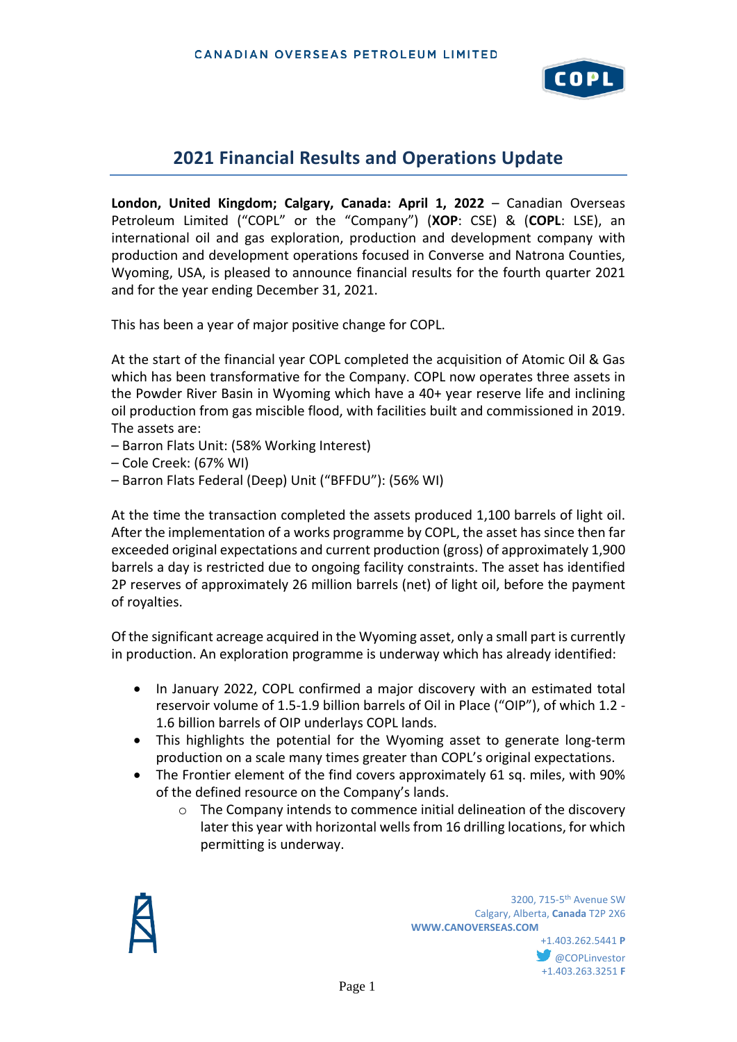

# **2021 Financial Results and Operations Update**

**London, United Kingdom; Calgary, Canada: April 1, 2022** – Canadian Overseas Petroleum Limited ("COPL" or the "Company") (**XOP**: CSE) & (**COPL**: LSE), an international oil and gas exploration, production and development company with production and development operations focused in Converse and Natrona Counties, Wyoming, USA, is pleased to announce financial results for the fourth quarter 2021 and for the year ending December 31, 2021.

This has been a year of major positive change for COPL.

At the start of the financial year COPL completed the acquisition of Atomic Oil & Gas which has been transformative for the Company. COPL now operates three assets in the Powder River Basin in Wyoming which have a 40+ year reserve life and inclining oil production from gas miscible flood, with facilities built and commissioned in 2019. The assets are:

– Barron Flats Unit: (58% Working Interest)

– Cole Creek: (67% WI)

– Barron Flats Federal (Deep) Unit ("BFFDU"): (56% WI)

At the time the transaction completed the assets produced 1,100 barrels of light oil. After the implementation of a works programme by COPL, the asset has since then far exceeded original expectations and current production (gross) of approximately 1,900 barrels a day is restricted due to ongoing facility constraints. The asset has identified 2P reserves of approximately 26 million barrels (net) of light oil, before the payment of royalties.

Of the significant acreage acquired in the Wyoming asset, only a small part is currently in production. An exploration programme is underway which has already identified:

- In January 2022, COPL confirmed a major discovery with an estimated total reservoir volume of 1.5-1.9 billion barrels of Oil in Place ("OIP"), of which 1.2 - 1.6 billion barrels of OIP underlays COPL lands.
- This highlights the potential for the Wyoming asset to generate long-term production on a scale many times greater than COPL's original expectations.
- The Frontier element of the find covers approximately 61 sq. miles, with 90% of the defined resource on the Company's lands.
	- o The Company intends to commence initial delineation of the discovery later this year with horizontal wells from 16 drilling locations, for which permitting is underway.



**1200, 715-5<sup>th</sup> Avenue SW** 3200, 715-5<sup>th</sup> Avenue SW Calgary, Alberta, **Canada** T2P 2X6 **WWW.CANOVERSEAS.COM** +1.403.262.5441 **P @COPLinvestor** +1.403.263.3251 **F**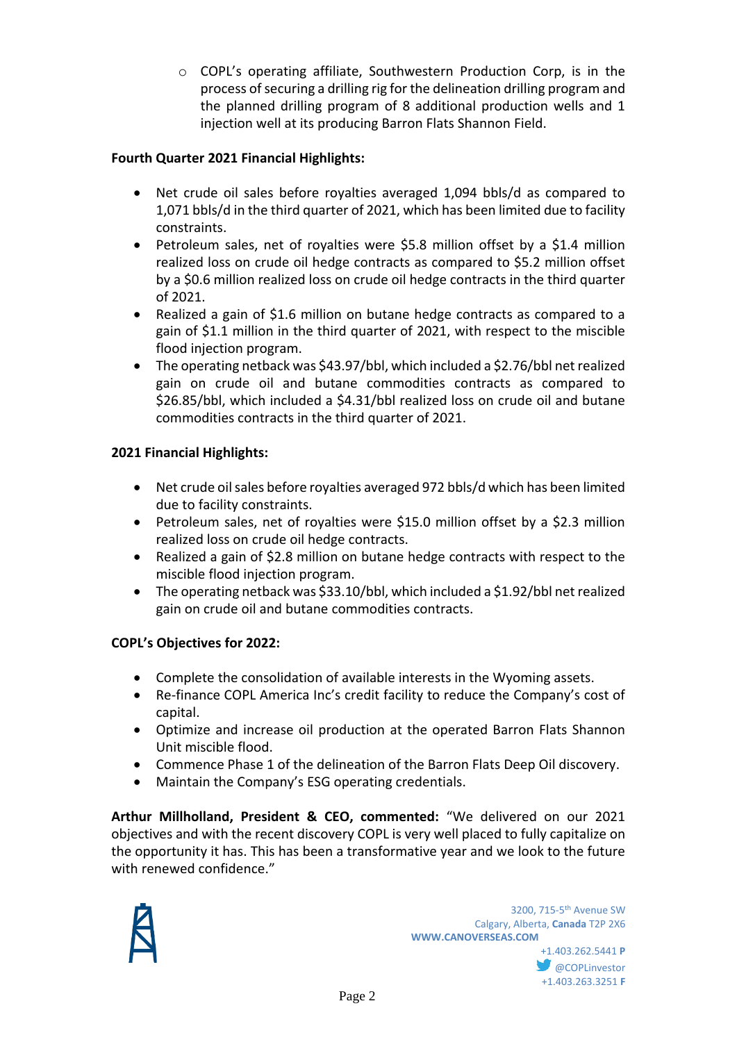o COPL's operating affiliate, Southwestern Production Corp, is in the process of securing a drilling rig for the delineation drilling program and the planned drilling program of 8 additional production wells and 1 injection well at its producing Barron Flats Shannon Field.

## **Fourth Quarter 2021 Financial Highlights:**

- Net crude oil sales before royalties averaged 1,094 bbls/d as compared to 1,071 bbls/d in the third quarter of 2021, which has been limited due to facility constraints.
- Petroleum sales, net of royalties were \$5.8 million offset by a \$1.4 million realized loss on crude oil hedge contracts as compared to \$5.2 million offset by a \$0.6 million realized loss on crude oil hedge contracts in the third quarter of 2021.
- Realized a gain of \$1.6 million on butane hedge contracts as compared to a gain of \$1.1 million in the third quarter of 2021, with respect to the miscible flood injection program.
- The operating netback was \$43.97/bbl, which included a \$2.76/bbl net realized gain on crude oil and butane commodities contracts as compared to \$26.85/bbl, which included a \$4.31/bbl realized loss on crude oil and butane commodities contracts in the third quarter of 2021.

## **2021 Financial Highlights:**

- Net crude oil sales before royalties averaged 972 bbls/d which has been limited due to facility constraints.
- Petroleum sales, net of royalties were \$15.0 million offset by a \$2.3 million realized loss on crude oil hedge contracts.
- Realized a gain of \$2.8 million on butane hedge contracts with respect to the miscible flood injection program.
- The operating netback was \$33.10/bbl, which included a \$1.92/bbl net realized gain on crude oil and butane commodities contracts.

### **COPL's Objectives for 2022:**

- Complete the consolidation of available interests in the Wyoming assets.
- Re-finance COPL America Inc's credit facility to reduce the Company's cost of capital.
- Optimize and increase oil production at the operated Barron Flats Shannon Unit miscible flood.
- Commence Phase 1 of the delineation of the Barron Flats Deep Oil discovery.
- Maintain the Company's ESG operating credentials.

**Arthur Millholland, President & CEO, commented:** "We delivered on our 2021 objectives and with the recent discovery COPL is very well placed to fully capitalize on the opportunity it has. This has been a transformative year and we look to the future with renewed confidence."



**W** @COPLinvestor +1.403.263.3251 **F**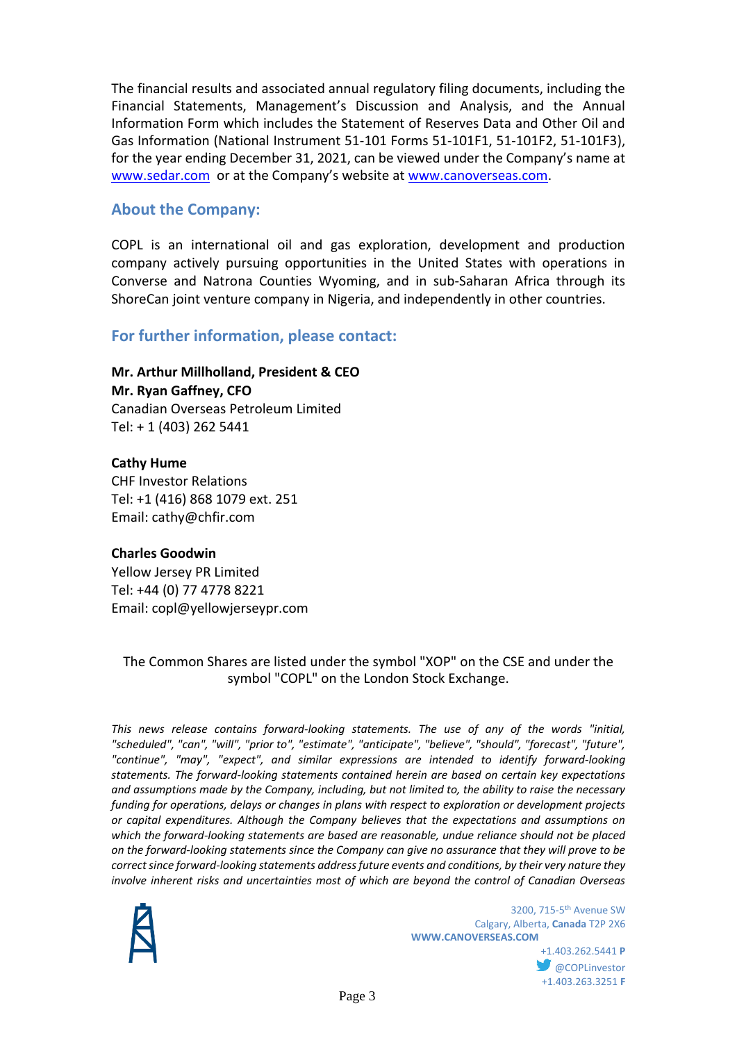The financial results and associated annual regulatory filing documents, including the Financial Statements, Management's Discussion and Analysis, and the Annual Information Form which includes the Statement of Reserves Data and Other Oil and Gas Information (National Instrument 51-101 Forms 51-101F1, 51-101F2, 51-101F3), for the year ending December 31, 2021, can be viewed under the Company's name at [www.sedar.com](http://www.sedar.com/) or at the Company's website at [www.canoverseas.com.](http://www.canoverseas.com/)

## **About the Company:**

COPL is an international oil and gas exploration, development and production company actively pursuing opportunities in the United States with operations in Converse and Natrona Counties Wyoming, and in sub-Saharan Africa through its ShoreCan joint venture company in Nigeria, and independently in other countries.

## **For further information, please contact:**

**Mr. Arthur Millholland, President & CEO Mr. Ryan Gaffney, CFO** Canadian Overseas Petroleum Limited Tel: + 1 (403) 262 5441

**Cathy Hume** CHF Investor Relations Tel: +1 (416) 868 1079 ext. 251 Email: cathy@chfir.com

#### **Charles Goodwin**

Yellow Jersey PR Limited Tel: +44 (0) 77 4778 8221 Email: copl@yellowjerseypr.com

The Common Shares are listed under the symbol "XOP" on the CSE and under the symbol "COPL" on the London Stock Exchange.

*This news release contains forward-looking statements. The use of any of the words "initial, "scheduled", "can", "will", "prior to", "estimate", "anticipate", "believe", "should", "forecast", "future", "continue", "may", "expect", and similar expressions are intended to identify forward-looking statements. The forward-looking statements contained herein are based on certain key expectations and assumptions made by the Company, including, but not limited to, the ability to raise the necessary funding for operations, delays or changes in plans with respect to exploration or development projects or capital expenditures. Although the Company believes that the expectations and assumptions on which the forward-looking statements are based are reasonable, undue reliance should not be placed on the forward-looking statements since the Company can give no assurance that they will prove to be correct since forward-looking statements address future events and conditions, by their very nature they involve inherent risks and uncertainties most of which are beyond the control of Canadian Overseas* 



**1200, 715-5<sup>th</sup> Avenue SW** 3200, 715-5<sup>th</sup> Avenue SW Calgary, Alberta, **Canada** T2P 2X6 **WWW.CANOVERSEAS.COM**

> +1.403.262.5441 **P @COPLinvestor** +1.403.263.3251 **F**